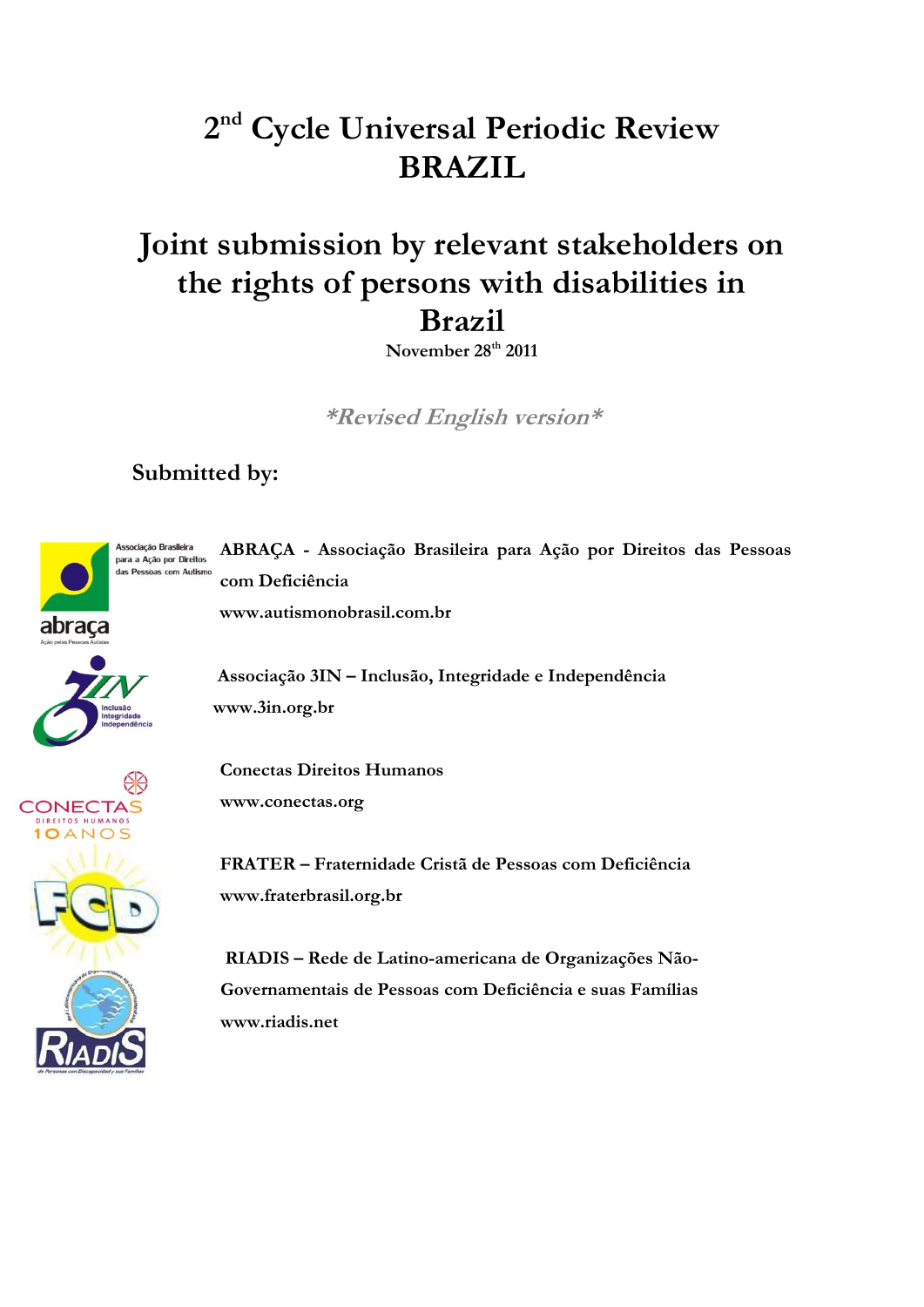# **2 nd Cycle Universal Periodic Review BRAZIL**

# **Joint submission by relevant stakeholders on the rights of persons with disabilities in Brazil**

**November 28th 2011**

**\*Revised English version\***

## **Submitted by:**



**ABRAÇA - Associação Brasileira para Ação por Direitos das Pessoas com Deficiência www.autismonobrasil.com.br**

 **Associação 3IN – Inclusão, Integridade e Independência www.3in.org.br**

**Conectas Direitos Humanos www.conectas.org**

**FRATER – Fraternidade Cristã de Pessoas com Deficiência www.fraterbrasil.org.br**

 **RIADIS – Rede de Latino-americana de Organizações Não- Governamentais de Pessoas com Deficiência e suas Famílias www.riadis.net**

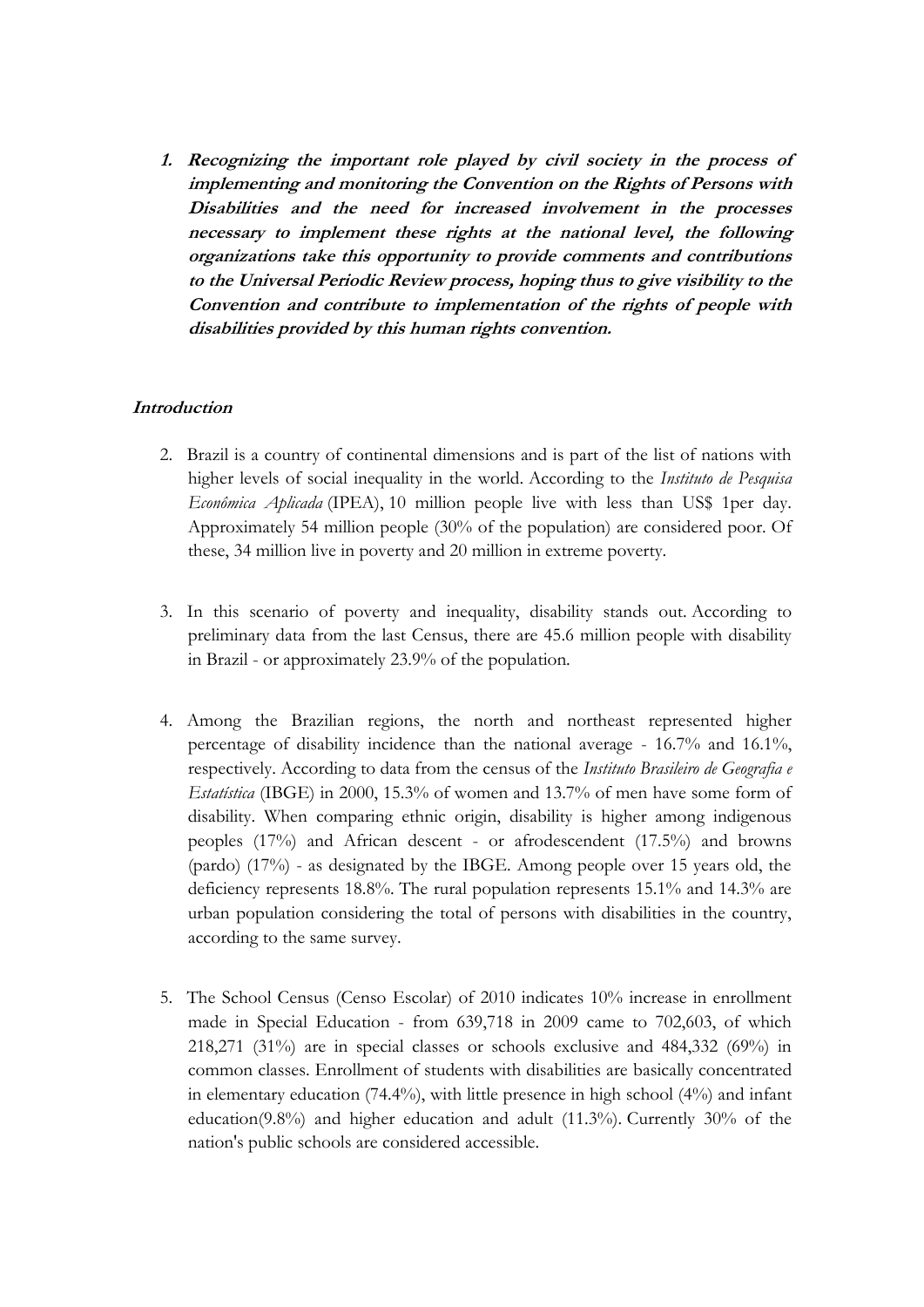**1. Recognizing the important role played by civil society in the process of implementing and monitoring the Convention on the Rights of Persons with Disabilities and the need for increased involvement in the processes necessary to implement these rights at the national level, the following organizations take this opportunity to provide comments and contributions to the Universal Periodic Review process, hoping thus to give visibility to the Convention and contribute to implementation of the rights of people with disabilities provided by this human rights convention.**

### **Introduction**

- 2. Brazil is a country of continental dimensions and is part of the list of nations with higher levels of social inequality in the world. According to the *Instituto de Pesquisa Econômica Aplicada* (IPEA), 10 million people live with less than US\$ 1per day. Approximately 54 million people (30% of the population) are considered poor. Of these, 34 million live in poverty and 20 million in extreme poverty.
- 3. In this scenario of poverty and inequality, disability stands out. According to preliminary data from the last Census, there are 45.6 million people with disability in Brazil - or approximately 23.9% of the population.
- 4. Among the Brazilian regions, the north and northeast represented higher percentage of disability incidence than the national average - 16.7% and 16.1%, respectively. According to data from the census of the *Instituto Brasileiro de Geografia e Estatística* (IBGE) in 2000, 15.3% of women and 13.7% of men have some form of disability. When comparing ethnic origin, disability is higher among indigenous peoples (17%) and African descent - or afrodescendent (17.5%) and browns (pardo) (17%) - as designated by the IBGE. Among people over 15 years old, the deficiency represents 18.8%. The rural population represents 15.1% and 14.3% are urban population considering the total of persons with disabilities in the country, according to the same survey.
- 5. The School Census (Censo Escolar) of 2010 indicates 10% increase in enrollment made in Special Education - from 639,718 in 2009 came to 702,603, of which 218,271 (31%) are in special classes or schools exclusive and 484,332 (69%) in common classes. Enrollment of students with disabilities are basically concentrated in elementary education (74.4%), with little presence in high school (4%) and infant education(9.8%) and higher education and adult  $(11.3\%)$ . Currently 30% of the nation's public schools are considered accessible.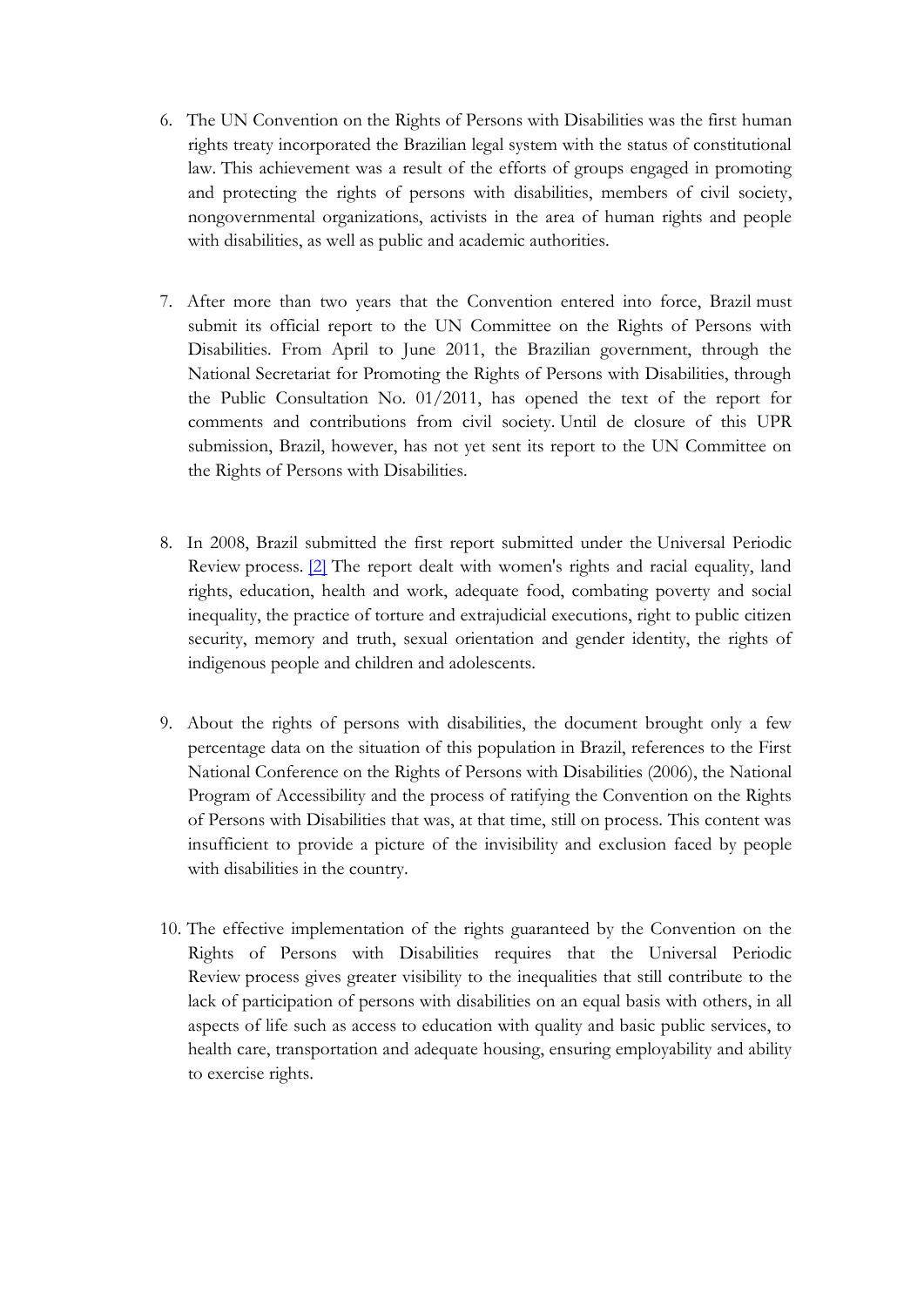- 6. The UN Convention on the Rights of Persons with Disabilities was the first human rights treaty incorporated the Brazilian legal system with the status of constitutional law. This achievement was a result of the efforts of groups engaged in promoting and protecting the rights of persons with disabilities, members of civil society, nongovernmental organizations, activists in the area of human rights and people with disabilities, as well as public and academic authorities.
- 7. After more than two years that the Convention entered into force, Brazil must submit its official report to the UN Committee on the Rights of Persons with Disabilities. From April to June 2011, the Brazilian government, through the National Secretariat for Promoting the Rights of Persons with Disabilities, through the Public Consultation No. 01/2011, has opened the text of the report for comments and contributions from civil society. Until de closure of this UPR submission, Brazil, however, has not yet sent its report to the UN Committee on the Rights of Persons with Disabilities.
- 8. In 2008, Brazil submitted the first report submitted under the Universal Periodic Review process. [\[2\]](http://translate.google.com/toolkit/content?did=000047vbyfj277k&rid=0&hl=pt_BR#_ftn2) The report dealt with women's rights and racial equality, land rights, education, health and work, adequate food, combating poverty and social inequality, the practice of torture and extrajudicial executions, right to public citizen security, memory and truth, sexual orientation and gender identity, the rights of indigenous people and children and adolescents.
- 9. About the rights of persons with disabilities, the document brought only a few percentage data on the situation of this population in Brazil, references to the First National Conference on the Rights of Persons with Disabilities (2006), the National Program of Accessibility and the process of ratifying the Convention on the Rights of Persons with Disabilities that was, at that time, still on process. This content was insufficient to provide a picture of the invisibility and exclusion faced by people with disabilities in the country.
- 10. The effective implementation of the rights guaranteed by the Convention on the Rights of Persons with Disabilities requires that the Universal Periodic Review process gives greater visibility to the inequalities that still contribute to the lack of participation of persons with disabilities on an equal basis with others, in all aspects of life such as access to education with quality and basic public services, to health care, transportation and adequate housing, ensuring employability and ability to exercise rights.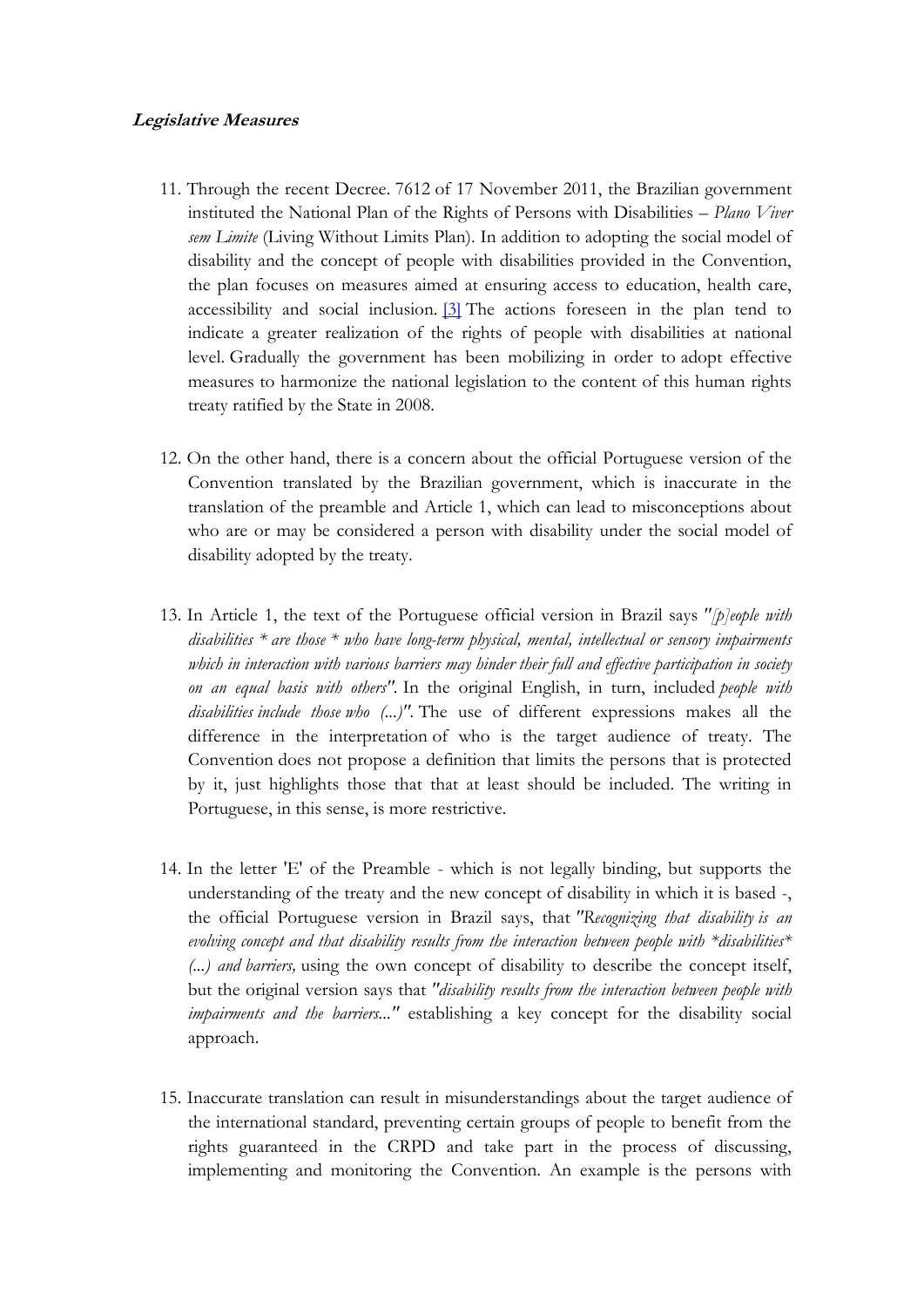#### **Legislative Measures**

- 11. Through the recent Decree. 7612 of 17 November 2011, the Brazilian government instituted the National Plan of the Rights of Persons with Disabilities – *Plano Viver sem Limite* (Living Without Limits Plan). In addition to adopting the social model of disability and the concept of people with disabilities provided in the Convention, the plan focuses on measures aimed at ensuring access to education, health care, accessibility and social inclusion.  $[3]$  The actions foreseen in the plan tend to indicate a greater realization of the rights of people with disabilities at national level. Gradually the government has been mobilizing in order to adopt effective measures to harmonize the national legislation to the content of this human rights treaty ratified by the State in 2008.
- 12. On the other hand, there is a concern about the official Portuguese version of the Convention translated by the Brazilian government, which is inaccurate in the translation of the preamble and Article 1, which can lead to misconceptions about who are or may be considered a person with disability under the social model of disability adopted by the treaty.
- 13. In Article 1, the text of the Portuguese official version in Brazil says *"[p]eople with disabilities \* are those \* who have long-term physical, mental, intellectual or sensory impairments*  which in interaction with various barriers may hinder their full and effective participation in society *on an equal basis with others".* In the original English, in turn, included *people with disabilities include those who (...)".* The use of different expressions makes all the difference in the interpretation of who is the target audience of treaty. The Convention does not propose a definition that limits the persons that is protected by it, just highlights those that that at least should be included. The writing in Portuguese, in this sense, is more restrictive.
- 14. In the letter 'E' of the Preamble which is not legally binding, but supports the understanding of the treaty and the new concept of disability in which it is based -, the official Portuguese version in Brazil says, that *"Recognizing that disability is an evolving concept and that disability results from the interaction between people with \*disabilities\* (...) and barriers,* using the own concept of disability to describe the concept itself, but the original version says that *"disability results from the interaction between people with impairments and the barriers..."* establishing a key concept for the disability social approach.
- 15. Inaccurate translation can result in misunderstandings about the target audience of the international standard, preventing certain groups of people to benefit from the rights guaranteed in the CRPD and take part in the process of discussing, implementing and monitoring the Convention. An example is the persons with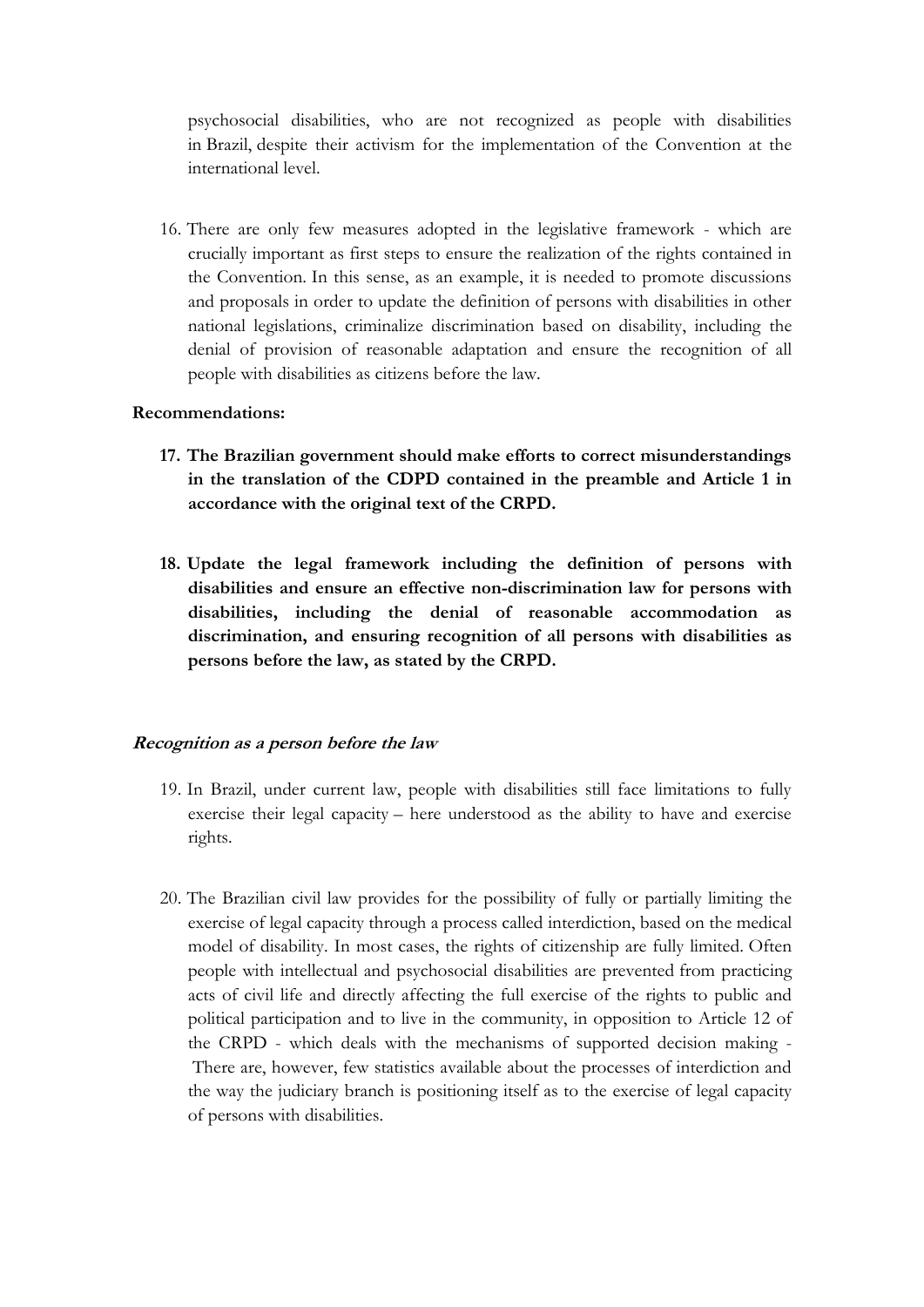psychosocial disabilities, who are not recognized as people with disabilities in Brazil, despite their activism for the implementation of the Convention at the international level.

16. There are only few measures adopted in the legislative framework - which are crucially important as first steps to ensure the realization of the rights contained in the Convention. In this sense, as an example, it is needed to promote discussions and proposals in order to update the definition of persons with disabilities in other national legislations, criminalize discrimination based on disability, including the denial of provision of reasonable adaptation and ensure the recognition of all people with disabilities as citizens before the law.

#### **Recommendations:**

- **17. The Brazilian government should make efforts to correct misunderstandings in the translation of the CDPD contained in the preamble and Article 1 in accordance with the original text of the CRPD.**
- **18. Update the legal framework including the definition of persons with disabilities and ensure an effective non-discrimination law for persons with disabilities, including the denial of reasonable accommodation as discrimination, and ensuring recognition of all persons with disabilities as persons before the law, as stated by the CRPD.**

#### **Recognition as a person before the law**

- 19. In Brazil, under current law, people with disabilities still face limitations to fully exercise their legal capacity – here understood as the ability to have and exercise rights.
- 20. The Brazilian civil law provides for the possibility of fully or partially limiting the exercise of legal capacity through a process called interdiction, based on the medical model of disability. In most cases, the rights of citizenship are fully limited. Often people with intellectual and psychosocial disabilities are prevented from practicing acts of civil life and directly affecting the full exercise of the rights to public and political participation and to live in the community, in opposition to Article 12 of the CRPD - which deals with the mechanisms of supported decision making - There are, however, few statistics available about the processes of interdiction and the way the judiciary branch is positioning itself as to the exercise of legal capacity of persons with disabilities.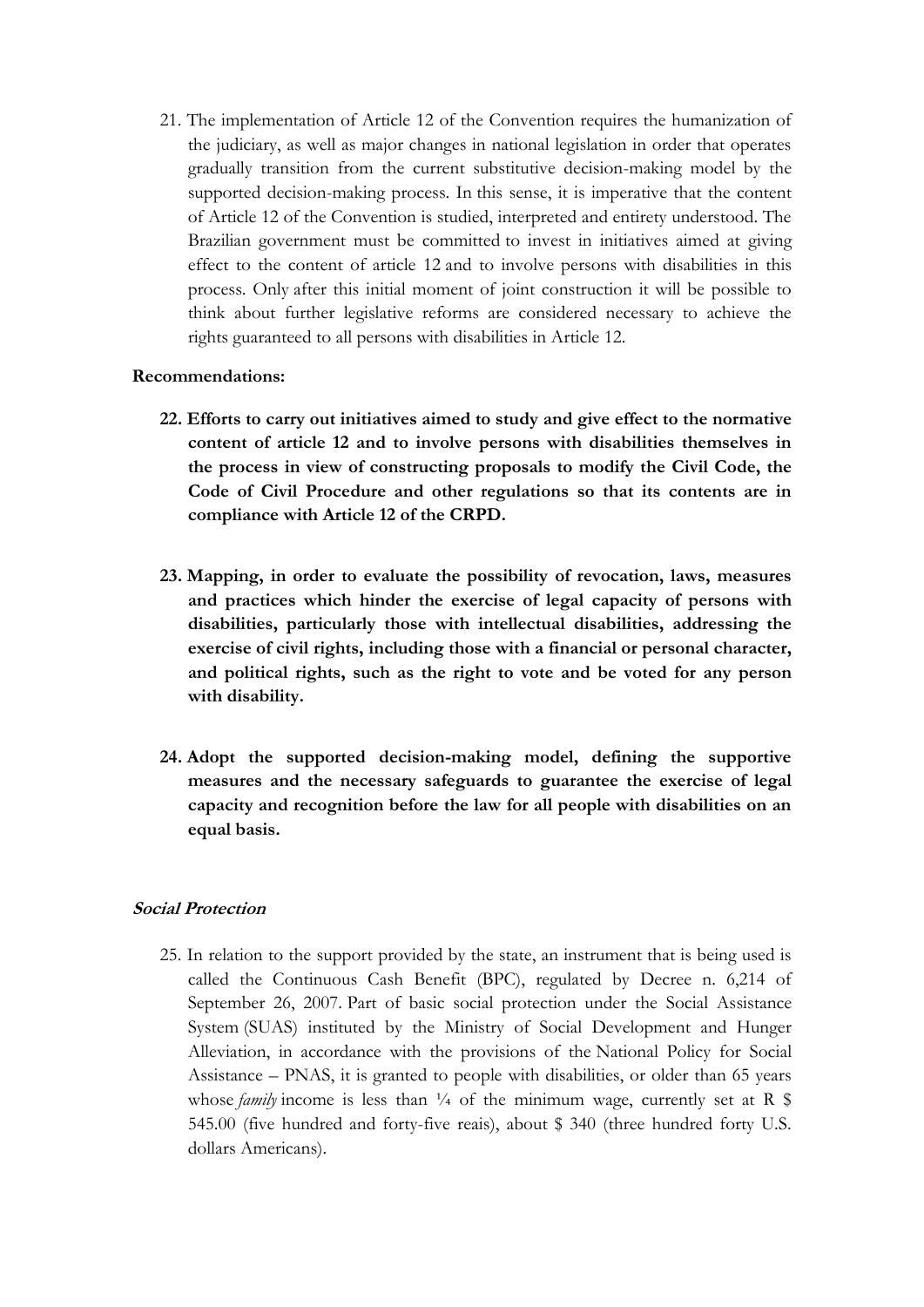21. The implementation of Article 12 of the Convention requires the humanization of the judiciary, as well as major changes in national legislation in order that operates gradually transition from the current substitutive decision-making model by the supported decision-making process. In this sense, it is imperative that the content of Article 12 of the Convention is studied, interpreted and entirety understood. The Brazilian government must be committed to invest in initiatives aimed at giving effect to the content of article 12 and to involve persons with disabilities in this process. Only after this initial moment of joint construction it will be possible to think about further legislative reforms are considered necessary to achieve the rights guaranteed to all persons with disabilities in Article 12.

#### **Recommendations:**

- **22. Efforts to carry out initiatives aimed to study and give effect to the normative content of article 12 and to involve persons with disabilities themselves in the process in view of constructing proposals to modify the Civil Code, the Code of Civil Procedure and other regulations so that its contents are in compliance with Article 12 of the CRPD.**
- **23. Mapping, in order to evaluate the possibility of revocation, laws, measures and practices which hinder the exercise of legal capacity of persons with disabilities, particularly those with intellectual disabilities, addressing the exercise of civil rights, including those with a financial or personal character, and political rights, such as the right to vote and be voted for any person with disability.**
- **24. Adopt the supported decision-making model, defining the supportive measures and the necessary safeguards to guarantee the exercise of legal capacity and recognition before the law for all people with disabilities on an equal basis.**

### **Social Protection**

25. In relation to the support provided by the state, an instrument that is being used is called the Continuous Cash Benefit (BPC), regulated by Decree n. 6,214 of September 26, 2007. Part of basic social protection under the Social Assistance System (SUAS) instituted by the Ministry of Social Development and Hunger Alleviation, in accordance with the provisions of the National Policy for Social Assistance – PNAS, it is granted to people with disabilities, or older than 65 years whose *family* income is less than  $\frac{1}{4}$  of the minimum wage, currently set at R \$ 545.00 (five hundred and forty-five reais), about \$ 340 (three hundred forty U.S. dollars Americans).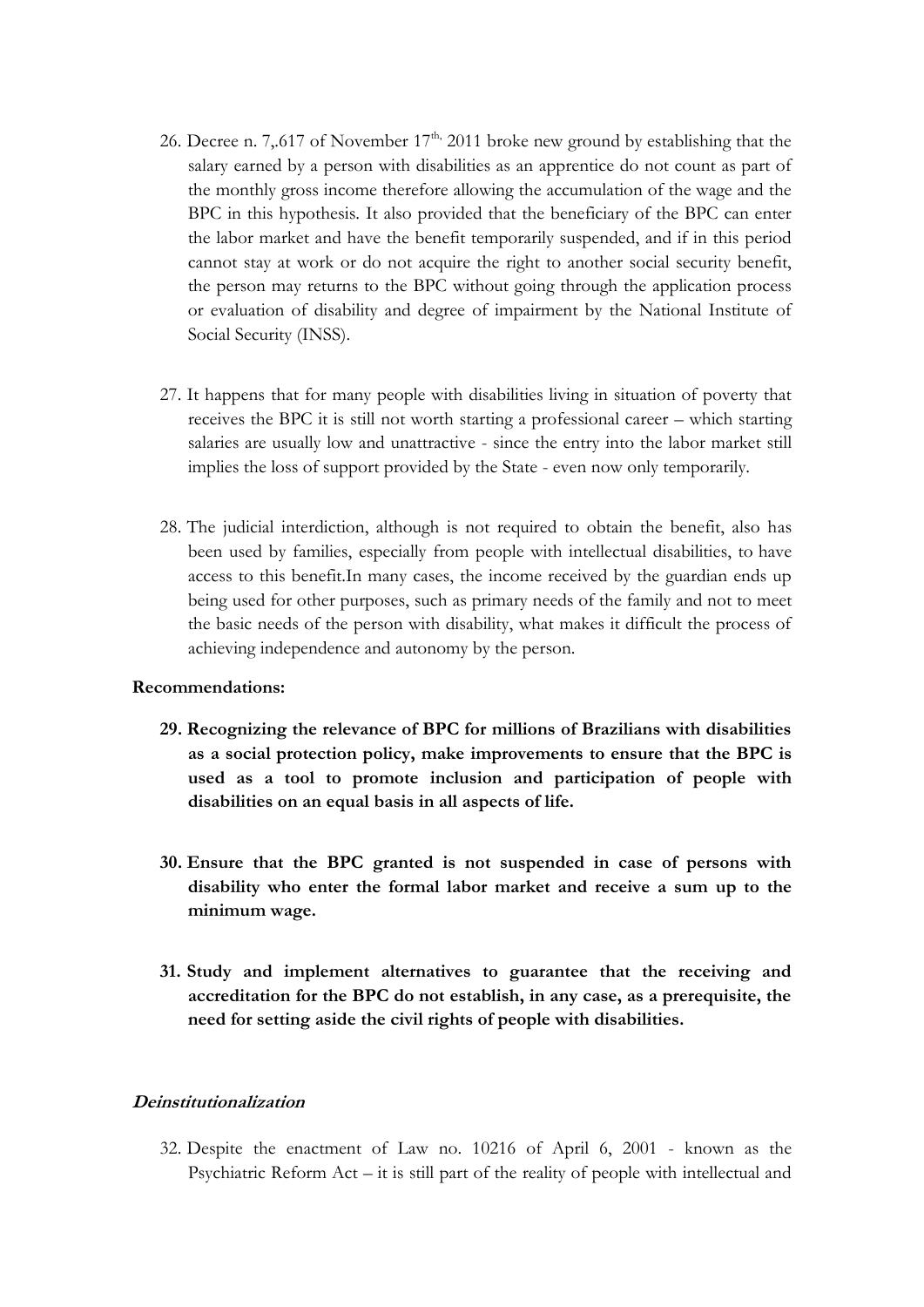- 26. Decree n. 7,.617 of November  $17<sup>th</sup>$ , 2011 broke new ground by establishing that the salary earned by a person with disabilities as an apprentice do not count as part of the monthly gross income therefore allowing the accumulation of the wage and the BPC in this hypothesis. It also provided that the beneficiary of the BPC can enter the labor market and have the benefit temporarily suspended, and if in this period cannot stay at work or do not acquire the right to another social security benefit, the person may returns to the BPC without going through the application process or evaluation of disability and degree of impairment by the National Institute of Social Security (INSS).
- 27. It happens that for many people with disabilities living in situation of poverty that receives the BPC it is still not worth starting a professional career – which starting salaries are usually low and unattractive - since the entry into the labor market still implies the loss of support provided by the State - even now only temporarily.
- 28. The judicial interdiction, although is not required to obtain the benefit, also has been used by families, especially from people with intellectual disabilities, to have access to this benefit.In many cases, the income received by the guardian ends up being used for other purposes, such as primary needs of the family and not to meet the basic needs of the person with disability, what makes it difficult the process of achieving independence and autonomy by the person.

#### **Recommendations:**

- **29. Recognizing the relevance of BPC for millions of Brazilians with disabilities as a social protection policy, make improvements to ensure that the BPC is used as a tool to promote inclusion and participation of people with disabilities on an equal basis in all aspects of life.**
- **30. Ensure that the BPC granted is not suspended in case of persons with disability who enter the formal labor market and receive a sum up to the minimum wage.**
- **31. Study and implement alternatives to guarantee that the receiving and accreditation for the BPC do not establish, in any case, as a prerequisite, the need for setting aside the civil rights of people with disabilities.**

#### **Deinstitutionalization**

32. Despite the enactment of Law no. 10216 of April 6, 2001 - known as the Psychiatric Reform  $Act - it$  is still part of the reality of people with intellectual and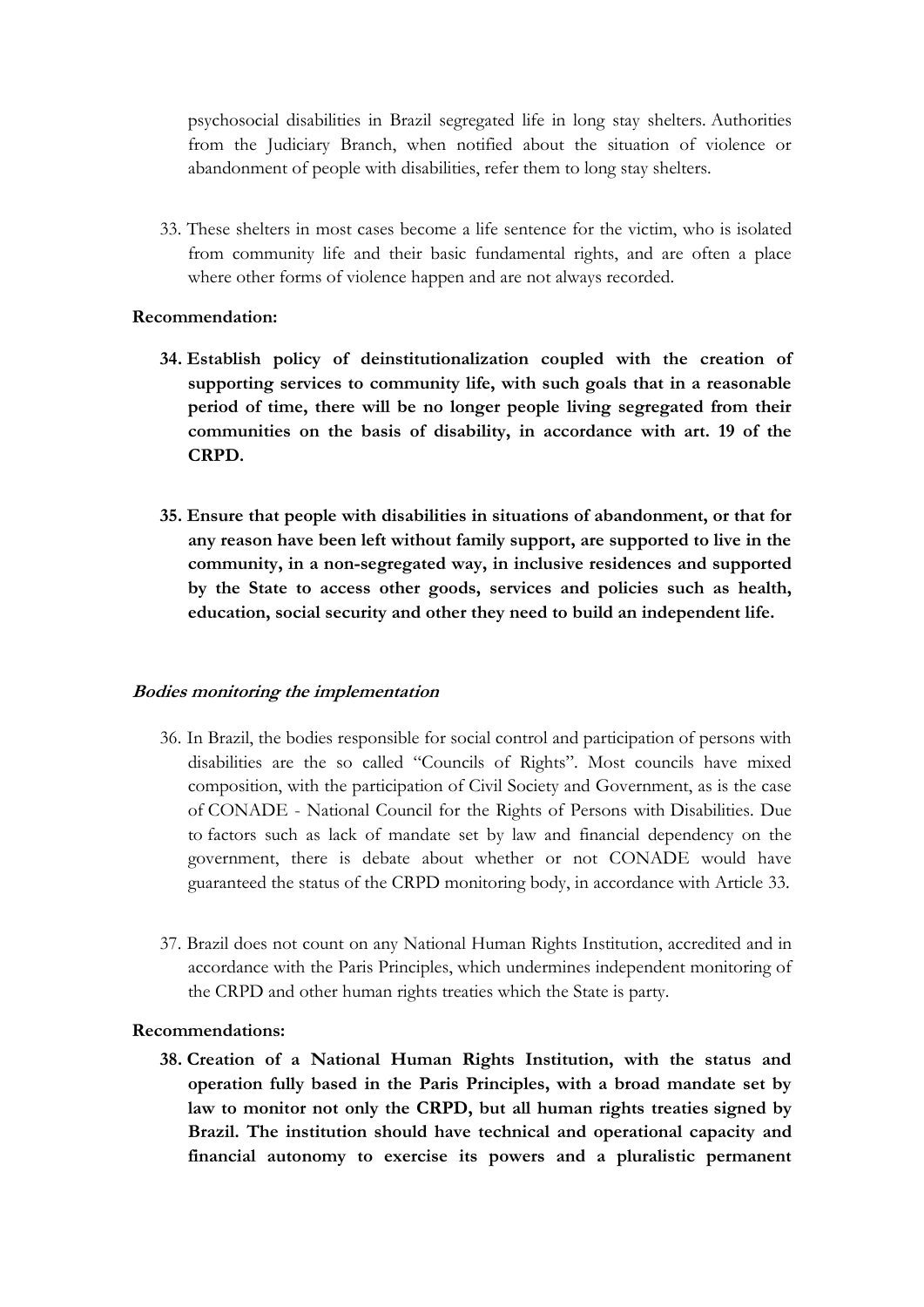psychosocial disabilities in Brazil segregated life in long stay shelters. Authorities from the Judiciary Branch, when notified about the situation of violence or abandonment of people with disabilities, refer them to long stay shelters.

33. These shelters in most cases become a life sentence for the victim, who is isolated from community life and their basic fundamental rights, and are often a place where other forms of violence happen and are not always recorded.

#### **Recommendation:**

- **34. Establish policy of deinstitutionalization coupled with the creation of supporting services to community life, with such goals that in a reasonable period of time, there will be no longer people living segregated from their communities on the basis of disability, in accordance with art. 19 of the CRPD.**
- **35. Ensure that people with disabilities in situations of abandonment, or that for any reason have been left without family support, are supported to live in the community, in a non-segregated way, in inclusive residences and supported by the State to access other goods, services and policies such as health, education, social security and other they need to build an independent life.**

#### **Bodies monitoring the implementation**

- 36. In Brazil, the bodies responsible for social control and participation of persons with disabilities are the so called "Councils of Rights". Most councils have mixed composition, with the participation of Civil Society and Government, as is the case of CONADE - National Council for the Rights of Persons with Disabilities. Due to factors such as lack of mandate set by law and financial dependency on the government, there is debate about whether or not CONADE would have guaranteed the status of the CRPD monitoring body, in accordance with Article 33.
- 37. Brazil does not count on any National Human Rights Institution, accredited and in accordance with the Paris Principles, which undermines independent monitoring of the CRPD and other human rights treaties which the State is party.

#### **Recommendations:**

**38. Creation of a National Human Rights Institution, with the status and operation fully based in the Paris Principles, with a broad mandate set by law to monitor not only the CRPD, but all human rights treaties signed by Brazil. The institution should have technical and operational capacity and financial autonomy to exercise its powers and a pluralistic permanent**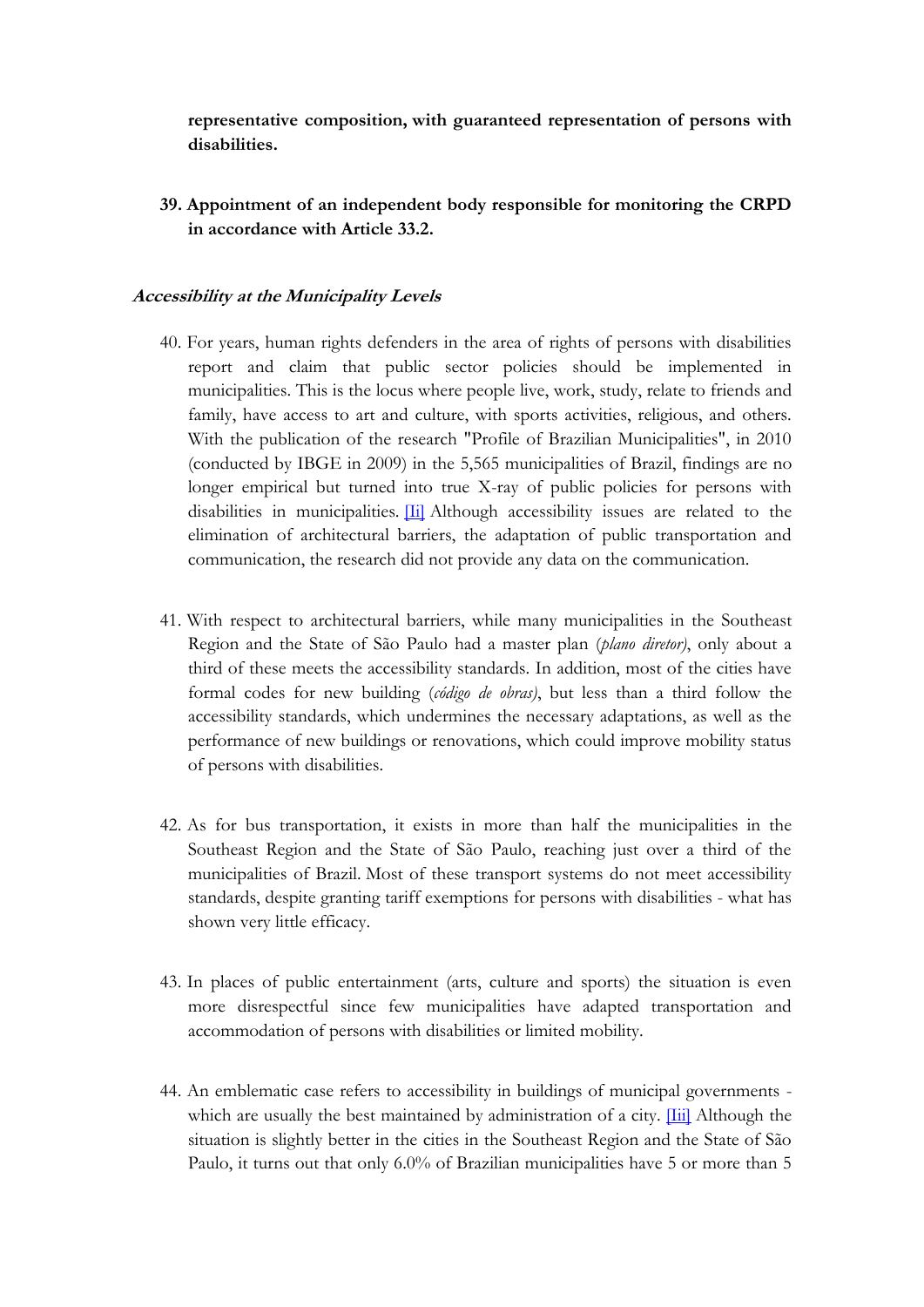**representative composition, with guaranteed representation of persons with disabilities.**

**39. Appointment of an independent body responsible for monitoring the CRPD in accordance with Article 33.2.**

#### **Accessibility at the Municipality Levels**

- 40. For years, human rights defenders in the area of rights of persons with disabilities report and claim that public sector policies should be implemented in municipalities. This is the locus where people live, work, study, relate to friends and family, have access to art and culture, with sports activities, religious, and others. With the publication of the research "Profile of Brazilian Municipalities", in 2010 (conducted by IBGE in 2009) in the 5,565 municipalities of Brazil, findings are no longer empirical but turned into true X-ray of public policies for persons with disabilities in municipalities. [\[Ii\]](http://translate.google.com/toolkit/content?did=000047vbyfj277k&rid=0&hl=pt_BR#_edn2) Although accessibility issues are related to the elimination of architectural barriers, the adaptation of public transportation and communication, the research did not provide any data on the communication.
- 41. With respect to architectural barriers, while many municipalities in the Southeast Region and the State of São Paulo had a master plan (*plano diretor)*, only about a third of these meets the accessibility standards. In addition, most of the cities have formal codes for new building (*código de obras)*, but less than a third follow the accessibility standards, which undermines the necessary adaptations, as well as the performance of new buildings or renovations, which could improve mobility status of persons with disabilities.
- 42. As for bus transportation, it exists in more than half the municipalities in the Southeast Region and the State of São Paulo, reaching just over a third of the municipalities of Brazil. Most of these transport systems do not meet accessibility standards, despite granting tariff exemptions for persons with disabilities - what has shown very little efficacy.
- 43. In places of public entertainment (arts, culture and sports) the situation is even more disrespectful since few municipalities have adapted transportation and accommodation of persons with disabilities or limited mobility.
- 44. An emblematic case refers to accessibility in buildings of municipal governments which are usually the best maintained by administration of a city. [\[Iii\]](http://translate.google.com/toolkit/content?did=000047vbyfj277k&rid=0&hl=pt_BR#_edn3) Although the situation is slightly better in the cities in the Southeast Region and the State of São Paulo, it turns out that only 6.0% of Brazilian municipalities have 5 or more than 5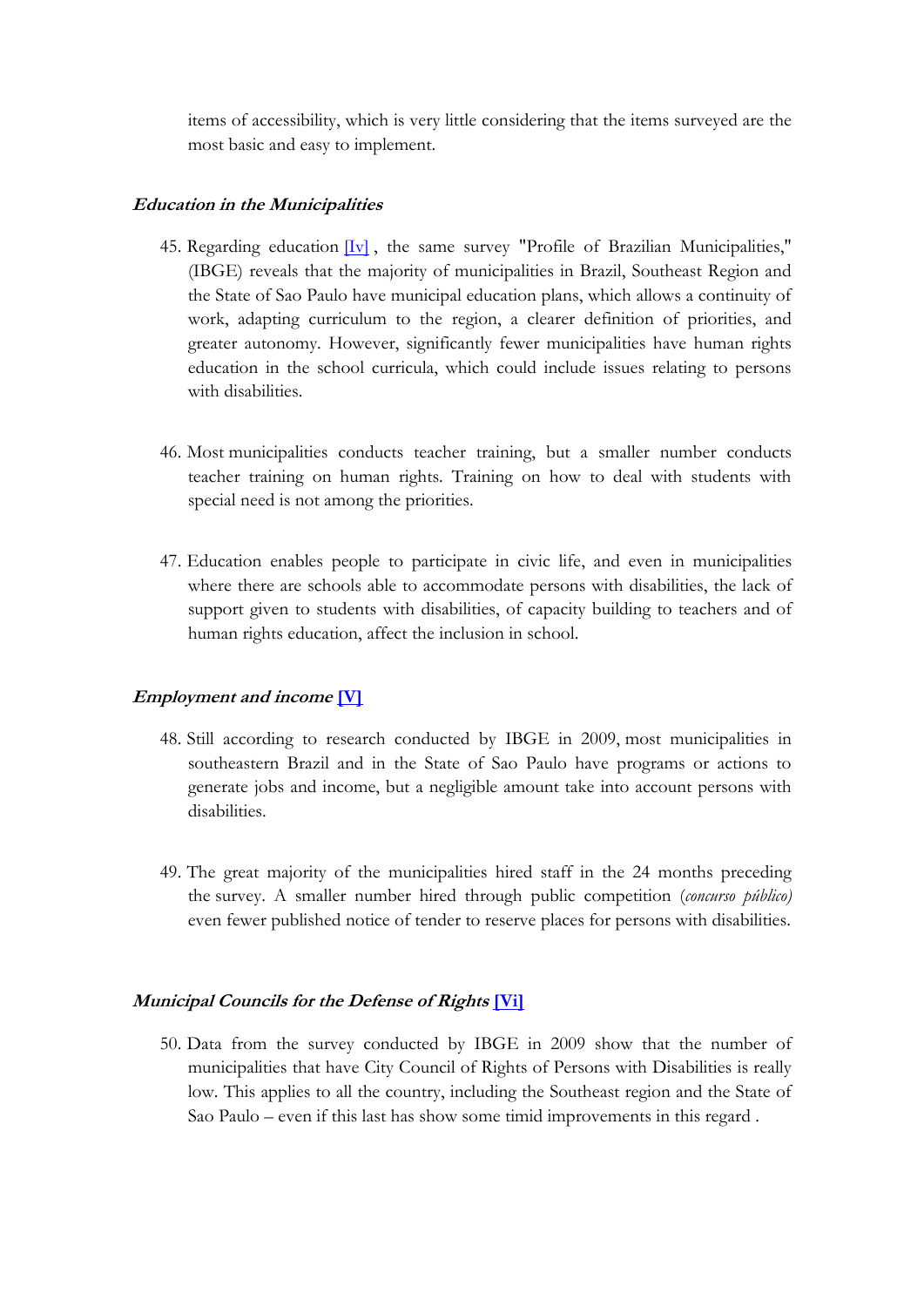items of accessibility, which is very little considering that the items surveyed are the most basic and easy to implement.

#### **Education in the Municipalities**

- 45. Regarding education  $\boxed{Iv}$ , the same survey "Profile of Brazilian Municipalities," (IBGE) reveals that the majority of municipalities in Brazil, Southeast Region and the State of Sao Paulo have municipal education plans, which allows a continuity of work, adapting curriculum to the region, a clearer definition of priorities, and greater autonomy. However, significantly fewer municipalities have human rights education in the school curricula, which could include issues relating to persons with disabilities.
- 46. Most municipalities conducts teacher training, but a smaller number conducts teacher training on human rights. Training on how to deal with students with special need is not among the priorities.
- 47. Education enables people to participate in civic life, and even in municipalities where there are schools able to accommodate persons with disabilities, the lack of support given to students with disabilities, of capacity building to teachers and of human rights education, affect the inclusion in school.

#### **Employment and income [\[V\]](http://translate.google.com/toolkit/content?did=000047vbyfj277k&rid=0&hl=pt_BR#_edn5)**

- 48. Still according to research conducted by IBGE in 2009, most municipalities in southeastern Brazil and in the State of Sao Paulo have programs or actions to generate jobs and income, but a negligible amount take into account persons with disabilities.
- 49. The great majority of the municipalities hired staff in the 24 months preceding the survey. A smaller number hired through public competition (*concurso público)*  even fewer published notice of tender to reserve places for persons with disabilities.

#### **Municipal Councils for the Defense of Rights [\[Vi\]](http://translate.google.com/toolkit/content?did=000047vbyfj277k&rid=0&hl=pt_BR#_edn6)**

50. Data from the survey conducted by IBGE in 2009 show that the number of municipalities that have City Council of Rights of Persons with Disabilities is really low. This applies to all the country, including the Southeast region and the State of Sao Paulo – even if this last has show some timid improvements in this regard .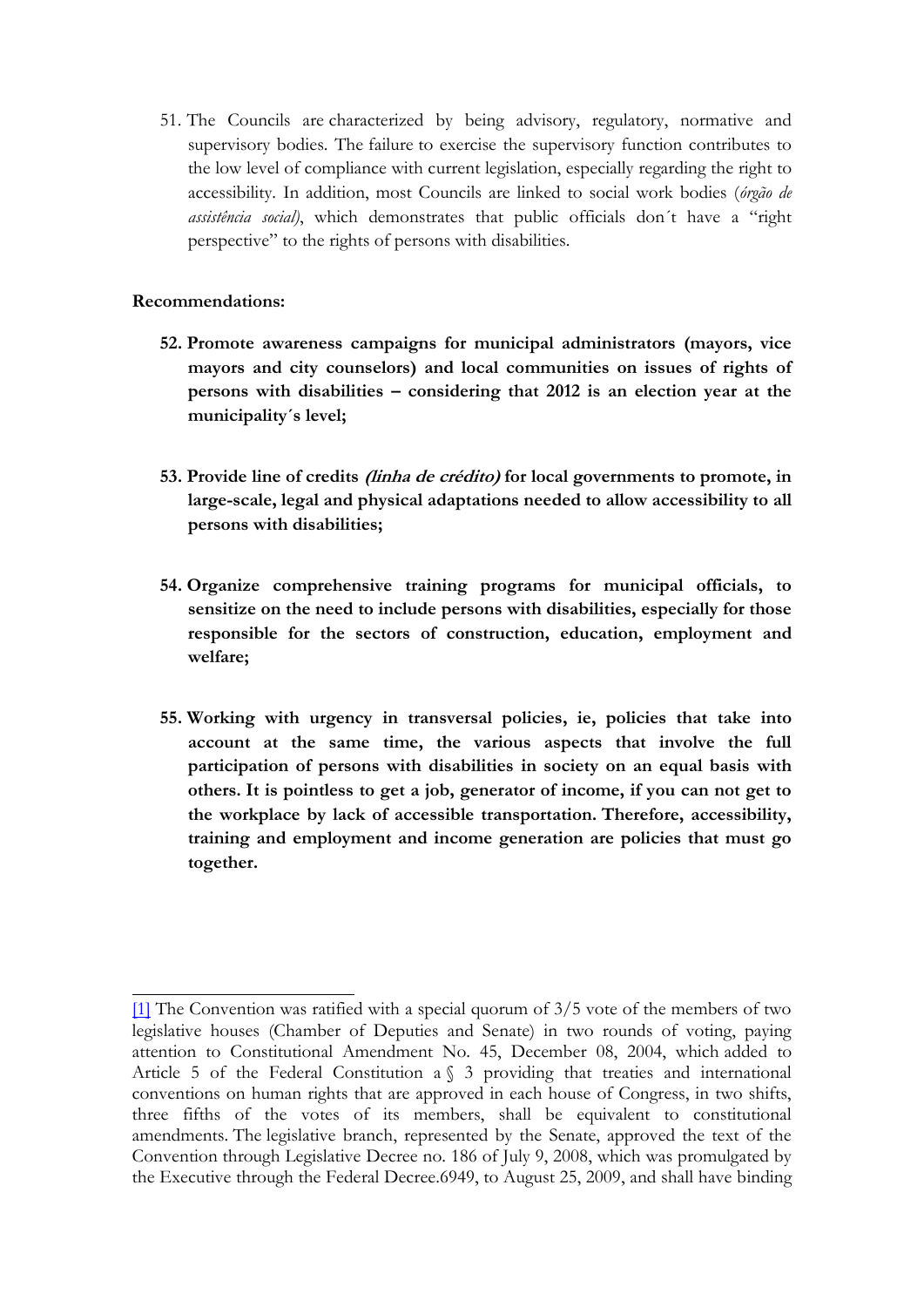51. The Councils are characterized by being advisory, regulatory, normative and supervisory bodies. The failure to exercise the supervisory function contributes to the low level of compliance with current legislation, especially regarding the right to accessibility. In addition, most Councils are linked to social work bodies (*órgão de assistência social)*, which demonstrates that public officials don´t have a "right perspective" to the rights of persons with disabilities.

### **Recommendations:**

- **52. Promote awareness campaigns for municipal administrators (mayors, vice mayors and city counselors) and local communities on issues of rights of persons with disabilities – considering that 2012 is an election year at the municipality´s level;**
- **53. Provide line of credits (linha de crédito) for local governments to promote, in large-scale, legal and physical adaptations needed to allow accessibility to all persons with disabilities;**
- **54. Organize comprehensive training programs for municipal officials, to sensitize on the need to include persons with disabilities, especially for those responsible for the sectors of construction, education, employment and welfare;**
- **55. Working with urgency in transversal policies, ie, policies that take into account at the same time, the various aspects that involve the full participation of persons with disabilities in society on an equal basis with others. It is pointless to get a job, generator of income, if you can not get to the workplace by lack of accessible transportation. Therefore, accessibility, training and employment and income generation are policies that must go together.**

[<sup>\[1\]</sup>](http://translate.google.com/toolkit/content?did=000047vbyfj277k&rid=0&hl=pt_BR#_ftnref1) The Convention was ratified with a special quorum of 3/5 vote of the members of two legislative houses (Chamber of Deputies and Senate) in two rounds of voting, paying attention to Constitutional Amendment No. 45, December 08, 2004, which added to Article 5 of the Federal Constitution a § 3 providing that treaties and international conventions on human rights that are approved in each house of Congress, in two shifts, three fifths of the votes of its members, shall be equivalent to constitutional amendments. The legislative branch, represented by the Senate, approved the text of the Convention through Legislative Decree no. 186 of July 9, 2008, which was promulgated by the Executive through the Federal Decree.6949, to August 25, 2009, and shall have binding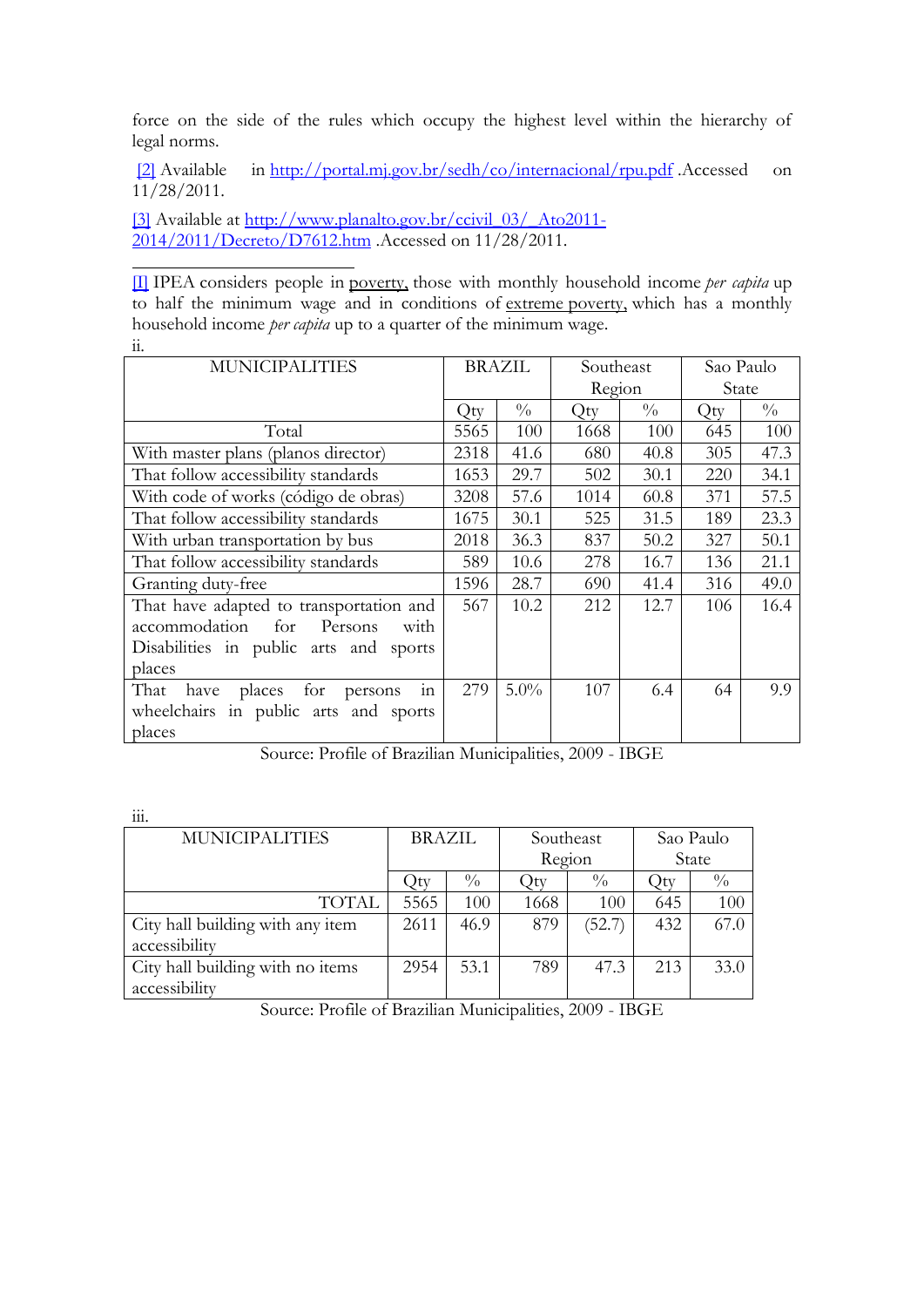force on the side of the rules which occupy the highest level within the hierarchy of legal norms.

[\[2\]](http://translate.google.com/toolkit/content?did=000047vbyfj277k&rid=0&hl=pt_BR#_ftnref2) Available in [http://portal.mj.gov.br/sedh/co/internacional/rpu.pdf](http://www.google.com/url?q=http%3A%2F%2Fportal.mj.gov.br%2Fsedh%2Fco%2Finternacional%2Frpu.pdf&sa=D&sntz=1&usg=AFQjCNEMxnin03KCy0jaLI0iArzy-Q_sAA) .Accessed on 11/28/2011.

[\[3\]](http://translate.google.com/toolkit/content?did=000047vbyfj277k&rid=0&hl=pt_BR#_ftnref3) Available at [http://www.planalto.gov.br/ccivil\\_03/\\_Ato2011-](http://www.google.com/url?q=http%3A%2F%2Fwww.planalto.gov.br%2Fccivil_03%2F_Ato2011-2014%2F2011%2FDecreto%2FD7612.htm&sa=D&sntz=1&usg=AFQjCNE_dKP46aH02ZPk-JtnCDsRqSSoYw) [2014/2011/Decreto/D7612.htm](http://www.google.com/url?q=http%3A%2F%2Fwww.planalto.gov.br%2Fccivil_03%2F_Ato2011-2014%2F2011%2FDecreto%2FD7612.htm&sa=D&sntz=1&usg=AFQjCNE_dKP46aH02ZPk-JtnCDsRqSSoYw) .Accessed on 11/28/2011.

[\[I\]](http://translate.google.com/toolkit/content?did=000047vbyfj277k&rid=0&hl=pt_BR#_ednref1) IPEA considers people in poverty, those with monthly household income *per capita* up to half the minimum wage and in conditions of extreme poverty, which has a monthly household income *per capita* up to a quarter of the minimum wage. ii.

| <b>MUNICIPALITIES</b>                     | <b>BRAZIL</b> |               | Southeast |               | Sao Paulo |               |
|-------------------------------------------|---------------|---------------|-----------|---------------|-----------|---------------|
|                                           |               |               | Region    |               | State     |               |
|                                           | Qty           | $\frac{0}{0}$ | Qty       | $\frac{0}{0}$ | Qty       | $\frac{0}{0}$ |
| Total                                     | 5565          | 100           | 1668      | 100           | 645       | 100           |
| With master plans (planos director)       | 2318          | 41.6          | 680       | 40.8          | 305       | 47.3          |
| That follow accessibility standards       | 1653          | 29.7          | 502       | 30.1          | 220       | 34.1          |
| With code of works (código de obras)      | 3208          | 57.6          | 1014      | 60.8          | 371       | 57.5          |
| That follow accessibility standards       | 1675          | 30.1          | 525       | 31.5          | 189       | 23.3          |
| With urban transportation by bus          | 2018          | 36.3          | 837       | 50.2          | 327       | 50.1          |
| That follow accessibility standards       | 589           | 10.6          | 278       | 16.7          | 136       | 21.1          |
| Granting duty-free                        | 1596          | 28.7          | 690       | 41.4          | 316       | 49.0          |
| That have adapted to transportation and   | 567           | 10.2          | 212       | 12.7          | 106       | 16.4          |
| accommodation<br>for<br>Persons<br>with   |               |               |           |               |           |               |
| Disabilities in public arts and sports    |               |               |           |               |           |               |
| places                                    |               |               |           |               |           |               |
| That<br>places for persons<br>have<br>111 | 279           | $5.0\%$       | 107       | 6.4           | 64        | 9.9           |
| wheelchairs in public arts and sports     |               |               |           |               |           |               |
| places                                    |               |               |           |               |           |               |

Source: Profile of Brazilian Municipalities, 2009 - IBGE

| $\cdots$<br>111.                 |               |               |           |               |             |               |
|----------------------------------|---------------|---------------|-----------|---------------|-------------|---------------|
| <b>MUNICIPALITIES</b>            | <b>BRAZIL</b> |               | Southeast |               | Sao Paulo   |               |
|                                  |               |               | Region    |               | State       |               |
|                                  | .)tv          | $\frac{0}{0}$ | )tv       | $\frac{0}{0}$ | $\gimel$ ty | $\frac{0}{0}$ |
| <b>TOTAL</b>                     | 5565          | 100           | 1668      | 100           | 645         | 100           |
| City hall building with any item | 2611          | 46.9          | 879       | (52.7)        | 432         | 67.0          |
| accessibility                    |               |               |           |               |             |               |
| City hall building with no items | 2954          | 53.1          | 789       | 47.3          | 213         | 33.0          |
| accessibility                    |               |               |           |               |             |               |

Source: Profile of Brazilian Municipalities, 2009 - IBGE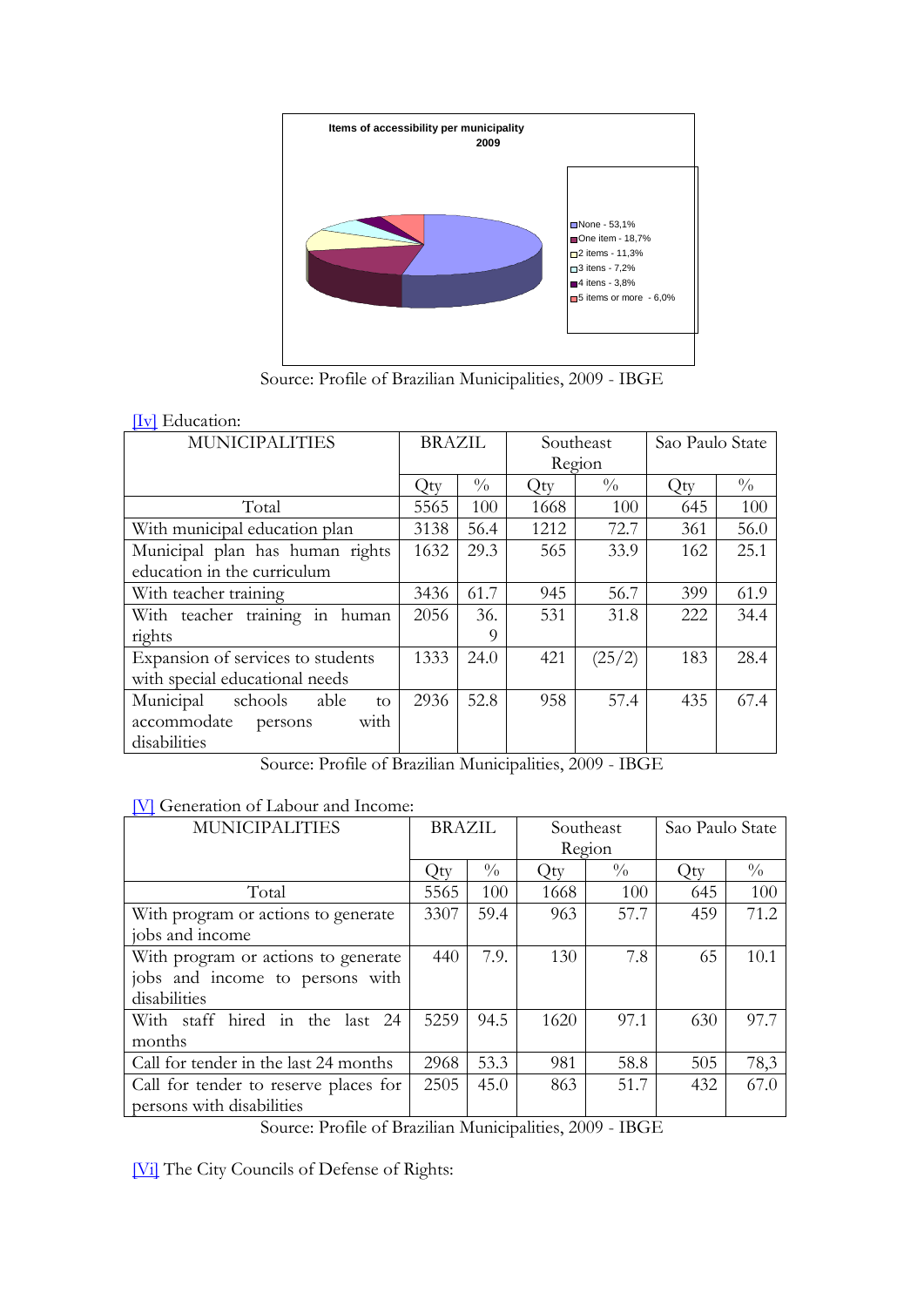

Source: Profile of Brazilian Municipalities, 2009 - IBGE

#### [\[Iv\]](http://translate.google.com/toolkit/content?did=000047vbyfj277k&rid=0&hl=pt_BR#_ednref4) Education:

| <b>MUNICIPALITIES</b>              | BRAZIL |               | Southeast |               | Sao Paulo State |               |
|------------------------------------|--------|---------------|-----------|---------------|-----------------|---------------|
|                                    |        |               | Region    |               |                 |               |
|                                    | Qty    | $\frac{0}{0}$ | Qty       | $\frac{0}{0}$ | Qty             | $\frac{0}{0}$ |
| Total                              | 5565   | 100           | 1668      | 100           | 645             | 100           |
| With municipal education plan      | 3138   | 56.4          | 1212      | 72.7          | 361             | 56.0          |
| Municipal plan has human rights    | 1632   | 29.3          | 565       | 33.9          | 162             | 25.1          |
| education in the curriculum        |        |               |           |               |                 |               |
| With teacher training              | 3436   | 61.7          | 945       | 56.7          | 399             | 61.9          |
| With teacher training in human     | 2056   | 36.           | 531       | 31.8          | 222             | 34.4          |
| rights                             |        | 9             |           |               |                 |               |
| Expansion of services to students  | 1333   | 24.0          | 421       | (25/2)        | 183             | 28.4          |
| with special educational needs     |        |               |           |               |                 |               |
| schools<br>Municipal<br>able<br>to | 2936   | 52.8          | 958       | 57.4          | 435             | 67.4          |
| accommodate persons<br>with        |        |               |           |               |                 |               |
| disabilities                       |        |               |           |               |                 |               |

Source: Profile of Brazilian Municipalities, 2009 - IBGE

#### [\[V\]](http://translate.google.com/toolkit/content?did=000047vbyfj277k&rid=0&hl=pt_BR#_ednref5) Generation of Labour and Income:

| $\overline{\phantom{a}}$<br><b>MUNICIPALITIES</b> | <b>BRAZIL</b> |               | Southeast |               | Sao Paulo State |               |
|---------------------------------------------------|---------------|---------------|-----------|---------------|-----------------|---------------|
|                                                   |               |               | Region    |               |                 |               |
|                                                   | Qty           | $\frac{0}{0}$ | Qty       | $\frac{0}{0}$ | Qty             | $\frac{0}{0}$ |
| Total                                             | 5565          | 100           | 1668      | 100           | 645             | 100           |
| With program or actions to generate               | 3307          | 59.4          | 963       | 57.7          | 459             | 71.2          |
| jobs and income                                   |               |               |           |               |                 |               |
| With program or actions to generate               | 440           | 7.9.          | 130       | 7.8           | 65              | 10.1          |
| jobs and income to persons with                   |               |               |           |               |                 |               |
| disabilities                                      |               |               |           |               |                 |               |
| With staff hired in the<br>last $24$              | 5259          | 94.5          | 1620      | 97.1          | 630             | 97.7          |
| months                                            |               |               |           |               |                 |               |
| Call for tender in the last 24 months             | 2968          | 53.3          | 981       | 58.8          | 505             | 78,3          |
| Call for tender to reserve places for             | 2505          | 45.0          | 863       | 51.7          | 432             | 67.0          |
| persons with disabilities                         |               |               |           |               |                 |               |

Source: Profile of Brazilian Municipalities, 2009 - IBGE

[\[Vi\]](http://translate.google.com/toolkit/content?did=000047vbyfj277k&rid=0&hl=pt_BR#_ednref6) The City Councils of Defense of Rights: